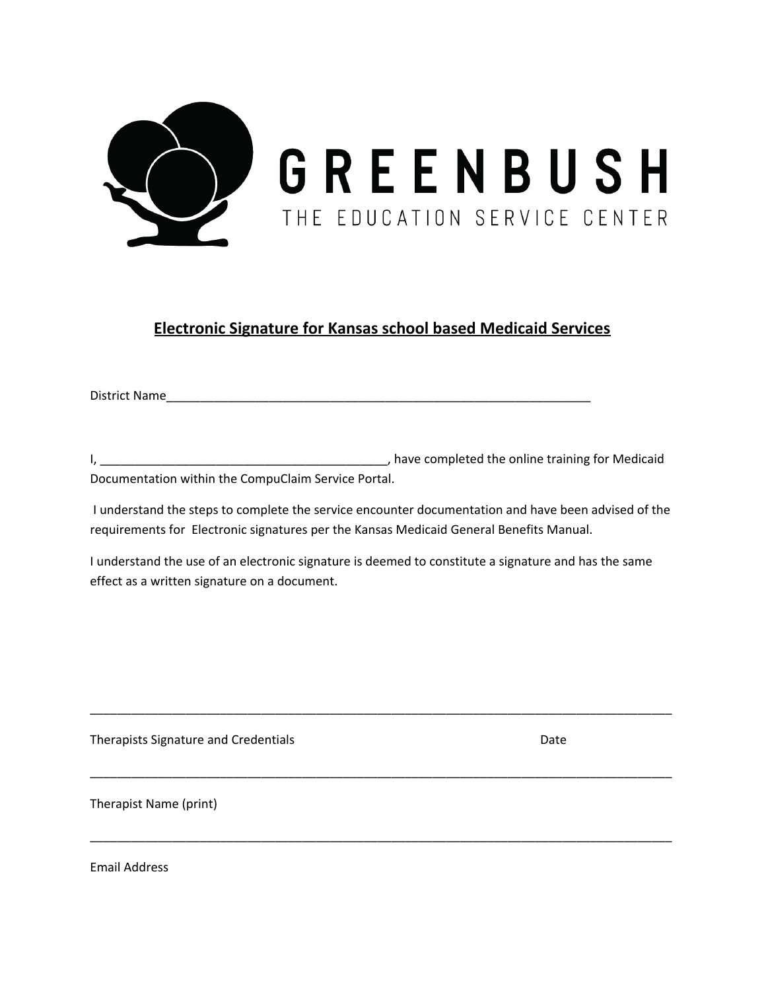

## **Electronic Signature for Kansas school based Medicaid Services**

District Name\_\_\_\_\_\_\_\_\_\_\_\_\_\_\_\_\_\_\_\_\_\_\_\_\_\_\_\_\_\_\_\_\_\_\_\_\_\_\_\_\_\_\_\_\_\_\_\_\_\_\_\_\_\_\_\_\_\_\_\_\_\_

I, \_\_\_\_\_\_\_\_\_\_\_\_\_\_\_\_\_\_\_\_\_\_\_\_\_\_\_\_\_\_\_\_\_\_\_\_\_\_\_\_\_\_, have completed the online training for Medicaid Documentation within the CompuClaim Service Portal.

I understand the steps to complete the service encounter documentation and have been advised of the requirements for Electronic signatures per the Kansas Medicaid General Benefits Manual.

I understand the use of an electronic signature is deemed to constitute a signature and has the same effect as a written signature on a document.

\_\_\_\_\_\_\_\_\_\_\_\_\_\_\_\_\_\_\_\_\_\_\_\_\_\_\_\_\_\_\_\_\_\_\_\_\_\_\_\_\_\_\_\_\_\_\_\_\_\_\_\_\_\_\_\_\_\_\_\_\_\_\_\_\_\_\_\_\_\_\_\_\_\_\_\_\_\_\_\_\_\_\_\_\_

\_\_\_\_\_\_\_\_\_\_\_\_\_\_\_\_\_\_\_\_\_\_\_\_\_\_\_\_\_\_\_\_\_\_\_\_\_\_\_\_\_\_\_\_\_\_\_\_\_\_\_\_\_\_\_\_\_\_\_\_\_\_\_\_\_\_\_\_\_\_\_\_\_\_\_\_\_\_\_\_\_\_\_\_\_

\_\_\_\_\_\_\_\_\_\_\_\_\_\_\_\_\_\_\_\_\_\_\_\_\_\_\_\_\_\_\_\_\_\_\_\_\_\_\_\_\_\_\_\_\_\_\_\_\_\_\_\_\_\_\_\_\_\_\_\_\_\_\_\_\_\_\_\_\_\_\_\_\_\_\_\_\_\_\_\_\_\_\_\_\_

Therapists Signature and Credentials **Date of American** Date Date

Therapist Name (print)

Email Address